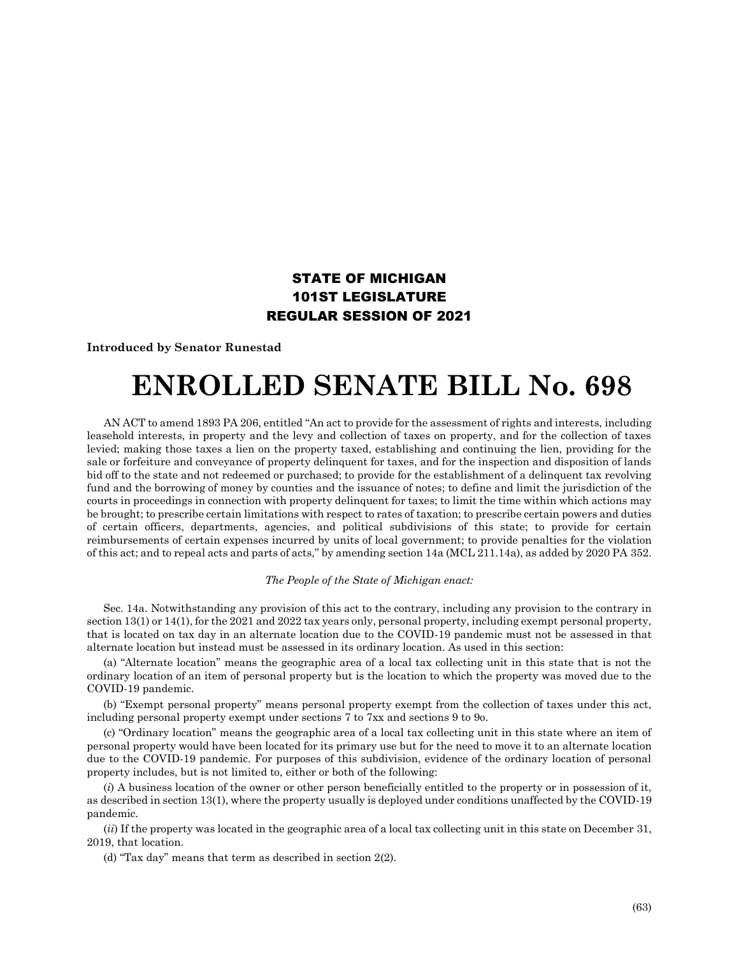## STATE OF MICHIGAN 101ST LEGISLATURE REGULAR SESSION OF 2021

**Introduced by Senator Runestad**

## **ENROLLED SENATE BILL No. 698**

AN ACT to amend 1893 PA 206, entitled "An act to provide for the assessment of rights and interests, including leasehold interests, in property and the levy and collection of taxes on property, and for the collection of taxes levied; making those taxes a lien on the property taxed, establishing and continuing the lien, providing for the sale or forfeiture and conveyance of property delinquent for taxes, and for the inspection and disposition of lands bid off to the state and not redeemed or purchased; to provide for the establishment of a delinquent tax revolving fund and the borrowing of money by counties and the issuance of notes; to define and limit the jurisdiction of the courts in proceedings in connection with property delinquent for taxes; to limit the time within which actions may be brought; to prescribe certain limitations with respect to rates of taxation; to prescribe certain powers and duties of certain officers, departments, agencies, and political subdivisions of this state; to provide for certain reimbursements of certain expenses incurred by units of local government; to provide penalties for the violation of this act; and to repeal acts and parts of acts," by amending section 14a (MCL 211.14a), as added by 2020 PA 352.

## *The People of the State of Michigan enact:*

Sec. 14a. Notwithstanding any provision of this act to the contrary, including any provision to the contrary in section 13(1) or 14(1), for the 2021 and 2022 tax years only, personal property, including exempt personal property, that is located on tax day in an alternate location due to the COVID-19 pandemic must not be assessed in that alternate location but instead must be assessed in its ordinary location. As used in this section:

(a) "Alternate location" means the geographic area of a local tax collecting unit in this state that is not the ordinary location of an item of personal property but is the location to which the property was moved due to the COVID-19 pandemic.

(b) "Exempt personal property" means personal property exempt from the collection of taxes under this act, including personal property exempt under sections 7 to 7xx and sections 9 to 9o.

(c) "Ordinary location" means the geographic area of a local tax collecting unit in this state where an item of personal property would have been located for its primary use but for the need to move it to an alternate location due to the COVID-19 pandemic. For purposes of this subdivision, evidence of the ordinary location of personal property includes, but is not limited to, either or both of the following:

(*i*) A business location of the owner or other person beneficially entitled to the property or in possession of it, as described in section 13(1), where the property usually is deployed under conditions unaffected by the COVID-19 pandemic.

(*ii*) If the property was located in the geographic area of a local tax collecting unit in this state on December 31, 2019, that location.

(d) "Tax day" means that term as described in section 2(2).